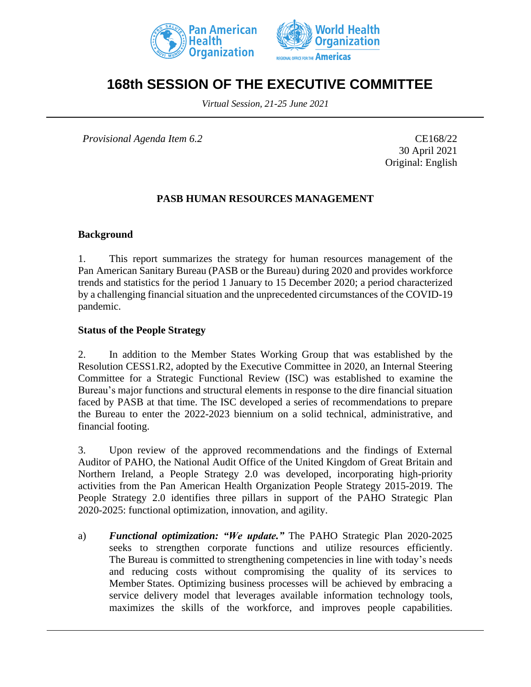



# **168th SESSION OF THE EXECUTIVE COMMITTEE**

*Virtual Session, 21-25 June 2021*

*Provisional Agenda Item 6.2* CE168/22

30 April 2021 Original: English

#### **PASB HUMAN RESOURCES MANAGEMENT**

#### **Background**

1. This report summarizes the strategy for human resources management of the Pan American Sanitary Bureau (PASB or the Bureau) during 2020 and provides workforce trends and statistics for the period 1 January to 15 December 2020; a period characterized by a challenging financial situation and the unprecedented circumstances of the COVID-19 pandemic.

#### **Status of the People Strategy**

2. In addition to the Member States Working Group that was established by the Resolution CESS1.R2, adopted by the Executive Committee in 2020, an Internal Steering Committee for a Strategic Functional Review (ISC) was established to examine the Bureau's major functions and structural elements in response to the dire financial situation faced by PASB at that time. The ISC developed a series of recommendations to prepare the Bureau to enter the 2022-2023 biennium on a solid technical, administrative, and financial footing.

3. Upon review of the approved recommendations and the findings of External Auditor of PAHO, the National Audit Office of the United Kingdom of Great Britain and Northern Ireland, a People Strategy 2.0 was developed, incorporating high-priority activities from the Pan American Health Organization People Strategy 2015-2019. The People Strategy 2.0 identifies three pillars in support of the PAHO Strategic Plan 2020-2025: functional optimization, innovation, and agility.

a) *Functional optimization: "We update."* The PAHO Strategic Plan 2020-2025 seeks to strengthen corporate functions and utilize resources efficiently. The Bureau is committed to strengthening competencies in line with today's needs and reducing costs without compromising the quality of its services to Member States. Optimizing business processes will be achieved by embracing a service delivery model that leverages available information technology tools, maximizes the skills of the workforce, and improves people capabilities.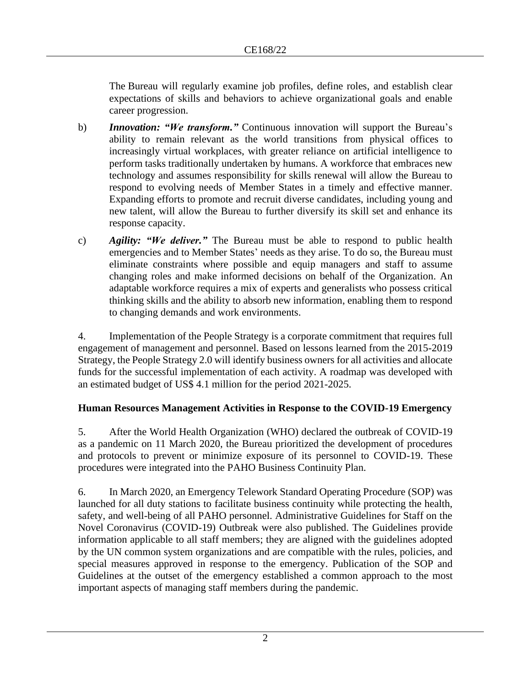The Bureau will regularly examine job profiles, define roles, and establish clear expectations of skills and behaviors to achieve organizational goals and enable career progression.

- b) *Innovation: "We transform."* Continuous innovation will support the Bureau's ability to remain relevant as the world transitions from physical offices to increasingly virtual workplaces, with greater reliance on artificial intelligence to perform tasks traditionally undertaken by humans. A workforce that embraces new technology and assumes responsibility for skills renewal will allow the Bureau to respond to evolving needs of Member States in a timely and effective manner. Expanding efforts to promote and recruit diverse candidates, including young and new talent, will allow the Bureau to further diversify its skill set and enhance its response capacity.
- c) *Agility: "We deliver."* The Bureau must be able to respond to public health emergencies and to Member States' needs as they arise. To do so, the Bureau must eliminate constraints where possible and equip managers and staff to assume changing roles and make informed decisions on behalf of the Organization. An adaptable workforce requires a mix of experts and generalists who possess critical thinking skills and the ability to absorb new information, enabling them to respond to changing demands and work environments.

4. Implementation of the People Strategy is a corporate commitment that requires full engagement of management and personnel. Based on lessons learned from the 2015-2019 Strategy, the People Strategy 2.0 will identify business owners for all activities and allocate funds for the successful implementation of each activity. A roadmap was developed with an estimated budget of US\$ 4.1 million for the period 2021-2025.

### **Human Resources Management Activities in Response to the COVID-19 Emergency**

5. After the World Health Organization (WHO) declared the outbreak of COVID-19 as a pandemic on 11 March 2020, the Bureau prioritized the development of procedures and protocols to prevent or minimize exposure of its personnel to COVID-19. These procedures were integrated into the PAHO Business Continuity Plan.

6. In March 2020, an Emergency Telework Standard Operating Procedure (SOP) was launched for all duty stations to facilitate business continuity while protecting the health, safety, and well-being of all PAHO personnel. Administrative Guidelines for Staff on the Novel Coronavirus (COVID-19) Outbreak were also published. The Guidelines provide information applicable to all staff members; they are aligned with the guidelines adopted by the UN common system organizations and are compatible with the rules, policies, and special measures approved in response to the emergency. Publication of the SOP and Guidelines at the outset of the emergency established a common approach to the most important aspects of managing staff members during the pandemic.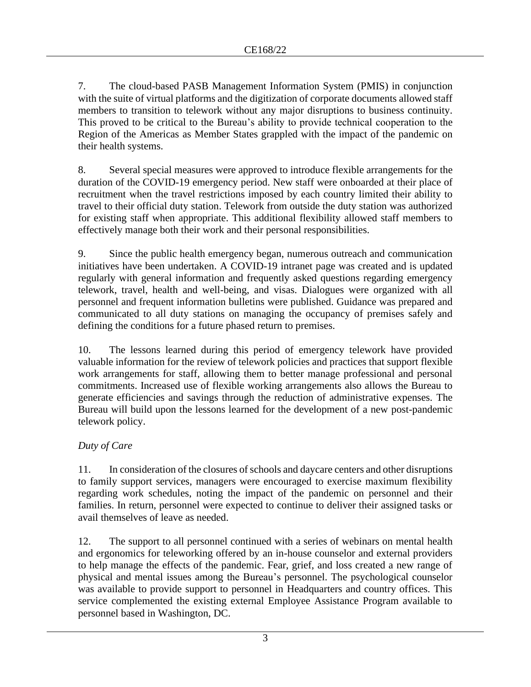7. The cloud-based PASB Management Information System (PMIS) in conjunction with the suite of virtual platforms and the digitization of corporate documents allowed staff members to transition to telework without any major disruptions to business continuity. This proved to be critical to the Bureau's ability to provide technical cooperation to the Region of the Americas as Member States grappled with the impact of the pandemic on their health systems.

8. Several special measures were approved to introduce flexible arrangements for the duration of the COVID-19 emergency period. New staff were onboarded at their place of recruitment when the travel restrictions imposed by each country limited their ability to travel to their official duty station. Telework from outside the duty station was authorized for existing staff when appropriate. This additional flexibility allowed staff members to effectively manage both their work and their personal responsibilities.

9. Since the public health emergency began, numerous outreach and communication initiatives have been undertaken. A COVID-19 intranet page was created and is updated regularly with general information and frequently asked questions regarding emergency telework, travel, health and well-being, and visas. Dialogues were organized with all personnel and frequent information bulletins were published. Guidance was prepared and communicated to all duty stations on managing the occupancy of premises safely and defining the conditions for a future phased return to premises.

10. The lessons learned during this period of emergency telework have provided valuable information for the review of telework policies and practices that support flexible work arrangements for staff, allowing them to better manage professional and personal commitments. Increased use of flexible working arrangements also allows the Bureau to generate efficiencies and savings through the reduction of administrative expenses. The Bureau will build upon the lessons learned for the development of a new post-pandemic telework policy.

### *Duty of Care*

11. In consideration of the closures of schools and daycare centers and other disruptions to family support services, managers were encouraged to exercise maximum flexibility regarding work schedules, noting the impact of the pandemic on personnel and their families. In return, personnel were expected to continue to deliver their assigned tasks or avail themselves of leave as needed.

12. The support to all personnel continued with a series of webinars on mental health and ergonomics for teleworking offered by an in-house counselor and external providers to help manage the effects of the pandemic. Fear, grief, and loss created a new range of physical and mental issues among the Bureau's personnel. The psychological counselor was available to provide support to personnel in Headquarters and country offices. This service complemented the existing external Employee Assistance Program available to personnel based in Washington, DC.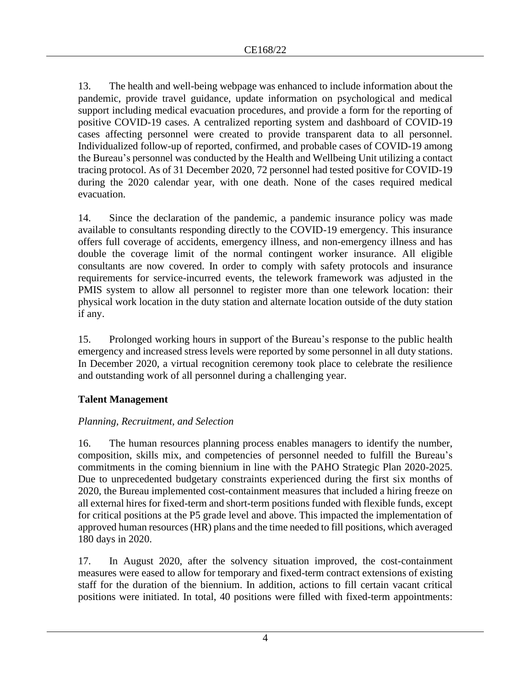13. The health and well-being webpage was enhanced to include information about the pandemic, provide travel guidance, update information on psychological and medical support including medical evacuation procedures, and provide a form for the reporting of positive COVID-19 cases. A centralized reporting system and dashboard of COVID-19 cases affecting personnel were created to provide transparent data to all personnel. Individualized follow-up of reported, confirmed, and probable cases of COVID-19 among the Bureau's personnel was conducted by the Health and Wellbeing Unit utilizing a contact tracing protocol. As of 31 December 2020, 72 personnel had tested positive for COVID-19 during the 2020 calendar year, with one death. None of the cases required medical evacuation.

14. Since the declaration of the pandemic, a pandemic insurance policy was made available to consultants responding directly to the COVID-19 emergency. This insurance offers full coverage of accidents, emergency illness, and non-emergency illness and has double the coverage limit of the normal contingent worker insurance. All eligible consultants are now covered. In order to comply with safety protocols and insurance requirements for service-incurred events, the telework framework was adjusted in the PMIS system to allow all personnel to register more than one telework location: their physical work location in the duty station and alternate location outside of the duty station if any.

15. Prolonged working hours in support of the Bureau's response to the public health emergency and increased stress levels were reported by some personnel in all duty stations. In December 2020, a virtual recognition ceremony took place to celebrate the resilience and outstanding work of all personnel during a challenging year.

### **Talent Management**

### *Planning, Recruitment, and Selection*

16. The human resources planning process enables managers to identify the number, composition, skills mix, and competencies of personnel needed to fulfill the Bureau's commitments in the coming biennium in line with the PAHO Strategic Plan 2020-2025. Due to unprecedented budgetary constraints experienced during the first six months of 2020, the Bureau implemented cost-containment measures that included a hiring freeze on all external hires for fixed-term and short-term positions funded with flexible funds, except for critical positions at the P5 grade level and above. This impacted the implementation of approved human resources (HR) plans and the time needed to fill positions, which averaged 180 days in 2020.

17. In August 2020, after the solvency situation improved, the cost-containment measures were eased to allow for temporary and fixed-term contract extensions of existing staff for the duration of the biennium. In addition, actions to fill certain vacant critical positions were initiated. In total, 40 positions were filled with fixed-term appointments: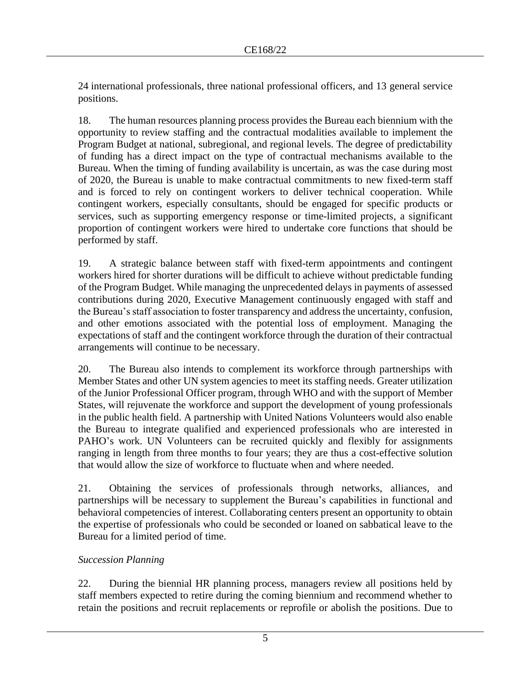24 international professionals, three national professional officers, and 13 general service positions.

18. The human resources planning process provides the Bureau each biennium with the opportunity to review staffing and the contractual modalities available to implement the Program Budget at national, subregional, and regional levels. The degree of predictability of funding has a direct impact on the type of contractual mechanisms available to the Bureau. When the timing of funding availability is uncertain, as was the case during most of 2020, the Bureau is unable to make contractual commitments to new fixed-term staff and is forced to rely on contingent workers to deliver technical cooperation. While contingent workers, especially consultants, should be engaged for specific products or services, such as supporting emergency response or time-limited projects, a significant proportion of contingent workers were hired to undertake core functions that should be performed by staff.

19. A strategic balance between staff with fixed-term appointments and contingent workers hired for shorter durations will be difficult to achieve without predictable funding of the Program Budget. While managing the unprecedented delays in payments of assessed contributions during 2020, Executive Management continuously engaged with staff and the Bureau's staff association to foster transparency and address the uncertainty, confusion, and other emotions associated with the potential loss of employment. Managing the expectations of staff and the contingent workforce through the duration of their contractual arrangements will continue to be necessary.

20. The Bureau also intends to complement its workforce through partnerships with Member States and other UN system agencies to meet its staffing needs. Greater utilization of the Junior Professional Officer program, through WHO and with the support of Member States, will rejuvenate the workforce and support the development of young professionals in the public health field. A partnership with United Nations Volunteers would also enable the Bureau to integrate qualified and experienced professionals who are interested in PAHO's work. UN Volunteers can be recruited quickly and flexibly for assignments ranging in length from three months to four years; they are thus a cost-effective solution that would allow the size of workforce to fluctuate when and where needed.

21. Obtaining the services of professionals through networks, alliances, and partnerships will be necessary to supplement the Bureau's capabilities in functional and behavioral competencies of interest. Collaborating centers present an opportunity to obtain the expertise of professionals who could be seconded or loaned on sabbatical leave to the Bureau for a limited period of time.

### *Succession Planning*

22. During the biennial HR planning process, managers review all positions held by staff members expected to retire during the coming biennium and recommend whether to retain the positions and recruit replacements or reprofile or abolish the positions. Due to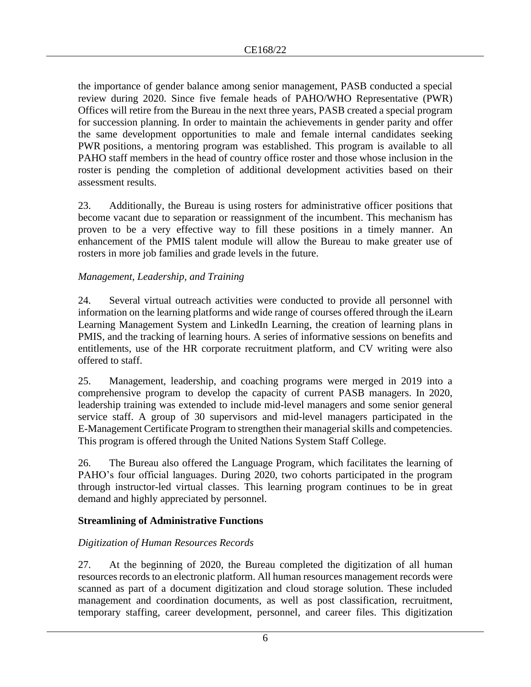the importance of gender balance among senior management, PASB conducted a special review during 2020. Since five female heads of PAHO/WHO Representative (PWR) Offices will retire from the Bureau in the next three years, PASB created a special program for succession planning. In order to maintain the achievements in gender parity and offer the same development opportunities to male and female internal candidates seeking PWR positions, a mentoring program was established. This program is available to all PAHO staff members in the head of country office roster and those whose inclusion in the roster is pending the completion of additional development activities based on their assessment results.

23. Additionally, the Bureau is using rosters for administrative officer positions that become vacant due to separation or reassignment of the incumbent. This mechanism has proven to be a very effective way to fill these positions in a timely manner. An enhancement of the PMIS talent module will allow the Bureau to make greater use of rosters in more job families and grade levels in the future.

### *Management, Leadership, and Training*

24. Several virtual outreach activities were conducted to provide all personnel with information on the learning platforms and wide range of courses offered through the iLearn Learning Management System and LinkedIn Learning, the creation of learning plans in PMIS, and the tracking of learning hours. A series of informative sessions on benefits and entitlements, use of the HR corporate recruitment platform, and CV writing were also offered to staff.

25. Management, leadership, and coaching programs were merged in 2019 into a comprehensive program to develop the capacity of current PASB managers. In 2020, leadership training was extended to include mid-level managers and some senior general service staff. A group of 30 supervisors and mid-level managers participated in the E-Management Certificate Program to strengthen their managerial skills and competencies. This program is offered through the United Nations System Staff College.

26. The Bureau also offered the Language Program, which facilitates the learning of PAHO's four official languages. During 2020, two cohorts participated in the program through instructor-led virtual classes. This learning program continues to be in great demand and highly appreciated by personnel.

#### **Streamlining of Administrative Functions**

### *Digitization of Human Resources Records*

27. At the beginning of 2020, the Bureau completed the digitization of all human resources records to an electronic platform. All human resources management records were scanned as part of a document digitization and cloud storage solution. These included management and coordination documents, as well as post classification, recruitment, temporary staffing, career development, personnel, and career files. This digitization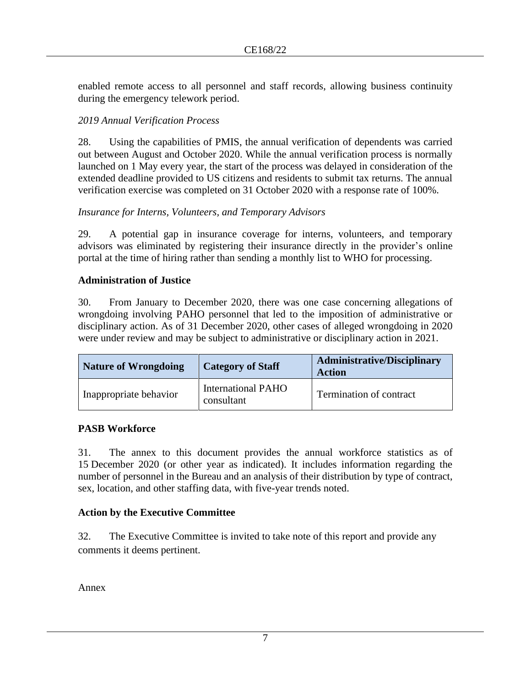enabled remote access to all personnel and staff records, allowing business continuity during the emergency telework period.

### *2019 Annual Verification Process*

28. Using the capabilities of PMIS, the annual verification of dependents was carried out between August and October 2020. While the annual verification process is normally launched on 1 May every year, the start of the process was delayed in consideration of the extended deadline provided to US citizens and residents to submit tax returns. The annual verification exercise was completed on 31 October 2020 with a response rate of 100%.

### *Insurance for Interns, Volunteers, and Temporary Advisors*

29. A potential gap in insurance coverage for interns, volunteers, and temporary advisors was eliminated by registering their insurance directly in the provider's online portal at the time of hiring rather than sending a monthly list to WHO for processing.

### **Administration of Justice**

30. From January to December 2020, there was one case concerning allegations of wrongdoing involving PAHO personnel that led to the imposition of administrative or disciplinary action. As of 31 December 2020, other cases of alleged wrongdoing in 2020 were under review and may be subject to administrative or disciplinary action in 2021.

| <b>Nature of Wrongdoing</b> | <b>Category of Staff</b>                | <b>Administrative/Disciplinary</b><br><b>Action</b> |
|-----------------------------|-----------------------------------------|-----------------------------------------------------|
| Inappropriate behavior      | <b>International PAHO</b><br>consultant | Termination of contract                             |

#### **PASB Workforce**

31. The annex to this document provides the annual workforce statistics as of 15 December 2020 (or other year as indicated). It includes information regarding the number of personnel in the Bureau and an analysis of their distribution by type of contract, sex, location, and other staffing data, with five-year trends noted.

#### **Action by the Executive Committee**

32. The Executive Committee is invited to take note of this report and provide any comments it deems pertinent.

Annex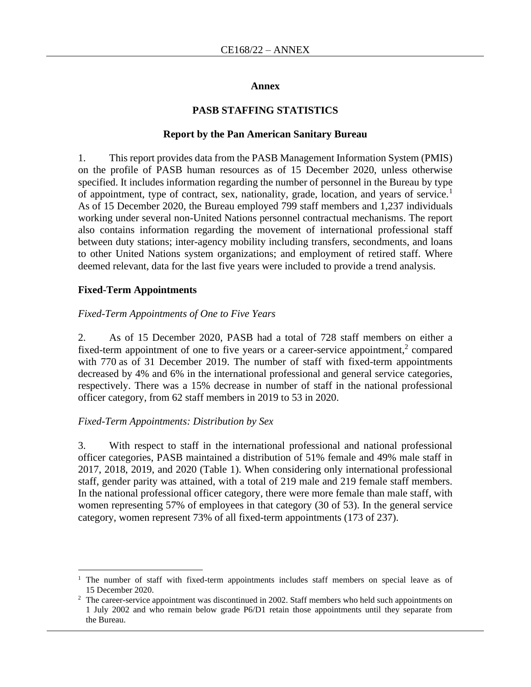#### **Annex**

#### **PASB STAFFING STATISTICS**

#### **Report by the Pan American Sanitary Bureau**

1. This report provides data from the PASB Management Information System (PMIS) on the profile of PASB human resources as of 15 December 2020, unless otherwise specified. It includes information regarding the number of personnel in the Bureau by type of appointment, type of contract, sex, nationality, grade, location, and years of service.<sup>1</sup> As of 15 December 2020, the Bureau employed 799 staff members and 1,237 individuals working under several non-United Nations personnel contractual mechanisms. The report also contains information regarding the movement of international professional staff between duty stations; inter-agency mobility including transfers, secondments, and loans to other United Nations system organizations; and employment of retired staff. Where deemed relevant, data for the last five years were included to provide a trend analysis.

#### **Fixed-Term Appointments**

#### *Fixed-Term Appointments of One to Five Years*

2. As of 15 December 2020, PASB had a total of 728 staff members on either a fixed-term appointment of one to five years or a career-service appointment, $2$  compared with 770 as of 31 December 2019. The number of staff with fixed-term appointments decreased by 4% and 6% in the international professional and general service categories, respectively. There was a 15% decrease in number of staff in the national professional officer category, from 62 staff members in 2019 to 53 in 2020.

#### *Fixed-Term Appointments: Distribution by Sex*

3. With respect to staff in the international professional and national professional officer categories, PASB maintained a distribution of 51% female and 49% male staff in 2017, 2018, 2019, and 2020 (Table 1). When considering only international professional staff, gender parity was attained, with a total of 219 male and 219 female staff members. In the national professional officer category, there were more female than male staff, with women representing 57% of employees in that category (30 of 53). In the general service category, women represent 73% of all fixed-term appointments (173 of 237).

<sup>1</sup> The number of staff with fixed-term appointments includes staff members on special leave as of 15 December 2020.

<sup>&</sup>lt;sup>2</sup> The career-service appointment was discontinued in 2002. Staff members who held such appointments on 1 July 2002 and who remain below grade P6/D1 retain those appointments until they separate from the Bureau.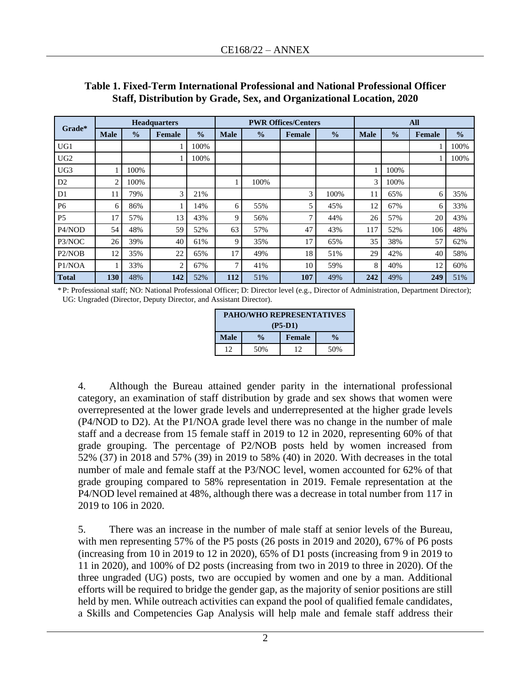| <b>Headquarters</b><br>Grade*   |                |               |                |               | <b>PWR Offices/Centers</b> |               |               |               | All         |               |               |               |
|---------------------------------|----------------|---------------|----------------|---------------|----------------------------|---------------|---------------|---------------|-------------|---------------|---------------|---------------|
|                                 | <b>Male</b>    | $\frac{0}{0}$ | Female         | $\frac{0}{0}$ | <b>Male</b>                | $\frac{0}{0}$ | <b>Female</b> | $\frac{0}{0}$ | <b>Male</b> | $\frac{0}{0}$ | <b>Female</b> | $\frac{0}{0}$ |
| UG1                             |                |               |                | 100%          |                            |               |               |               |             |               |               | 100%          |
| UG <sub>2</sub>                 |                |               |                | 100%          |                            |               |               |               |             |               |               | 100%          |
| UG <sub>3</sub>                 |                | 100%          |                |               |                            |               |               |               |             | 100%          |               |               |
| D2                              | $\overline{c}$ | 100%          |                |               |                            | 100%          |               |               | 3           | 100%          |               |               |
| D1                              | 11             | 79%           | 3              | 21%           |                            |               | 3             | 100%          | 11          | 65%           | 6             | 35%           |
| P <sub>6</sub>                  | 6              | 86%           |                | 14%           | 6                          | 55%           | 5             | 45%           | 12          | 67%           | 6             | 33%           |
| P <sub>5</sub>                  | 17             | 57%           | 13             | 43%           | 9                          | 56%           | 7             | 44%           | 26          | 57%           | 20            | 43%           |
| P4/NOD                          | 54             | 48%           | 59             | 52%           | 63                         | 57%           | 47            | 43%           | 117         | 52%           | 106           | 48%           |
| P3/NOC                          | 26             | 39%           | 40             | 61%           | 9                          | 35%           | 17            | 65%           | 35          | 38%           | 57            | 62%           |
| P <sub>2</sub> /NO <sub>B</sub> | 12             | 35%           | 22             | 65%           | 17                         | 49%           | 18            | 51%           | 29          | 42%           | 40            | 58%           |
| P1/NOA                          |                | 33%           | $\overline{2}$ | 67%           | 7                          | 41%           | 10            | 59%           | 8           | 40%           | 12            | 60%           |
| <b>Total</b>                    | 130            | 48%           | 142            | 52%           | 112                        | 51%           | 107           | 49%           | 242         | 49%           | 249           | 51%           |

### **Table 1. Fixed-Term International Professional and National Professional Officer Staff, Distribution by Grade, Sex, and Organizational Location, 2020**

\*P: Professional staff; NO: National Professional Officer; D: Director level (e.g., Director of Administration, Department Director); UG: Ungraded (Director, Deputy Director, and Assistant Director).

| <b>PAHO/WHO REPRESENTATIVES</b> |               |        |               |  |  |  |  |
|---------------------------------|---------------|--------|---------------|--|--|--|--|
| $(P5-D1)$                       |               |        |               |  |  |  |  |
| <b>Male</b>                     | $\frac{0}{0}$ | Female | $\frac{0}{0}$ |  |  |  |  |
| 12                              | 50%           | 12     | 50%           |  |  |  |  |

4. Although the Bureau attained gender parity in the international professional category, an examination of staff distribution by grade and sex shows that women were overrepresented at the lower grade levels and underrepresented at the higher grade levels (P4/NOD to D2). At the P1/NOA grade level there was no change in the number of male staff and a decrease from 15 female staff in 2019 to 12 in 2020, representing 60% of that grade grouping. The percentage of P2/NOB posts held by women increased from 52% (37) in 2018 and 57% (39) in 2019 to 58% (40) in 2020. With decreases in the total number of male and female staff at the P3/NOC level, women accounted for 62% of that grade grouping compared to 58% representation in 2019. Female representation at the P4/NOD level remained at 48%, although there was a decrease in total number from 117 in 2019 to 106 in 2020.

5. There was an increase in the number of male staff at senior levels of the Bureau, with men representing 57% of the P5 posts (26 posts in 2019 and 2020), 67% of P6 posts (increasing from 10 in 2019 to 12 in 2020), 65% of D1 posts (increasing from 9 in 2019 to 11 in 2020), and 100% of D2 posts (increasing from two in 2019 to three in 2020). Of the three ungraded (UG) posts, two are occupied by women and one by a man. Additional efforts will be required to bridge the gender gap, as the majority of senior positions are still held by men. While outreach activities can expand the pool of qualified female candidates, a Skills and Competencies Gap Analysis will help male and female staff address their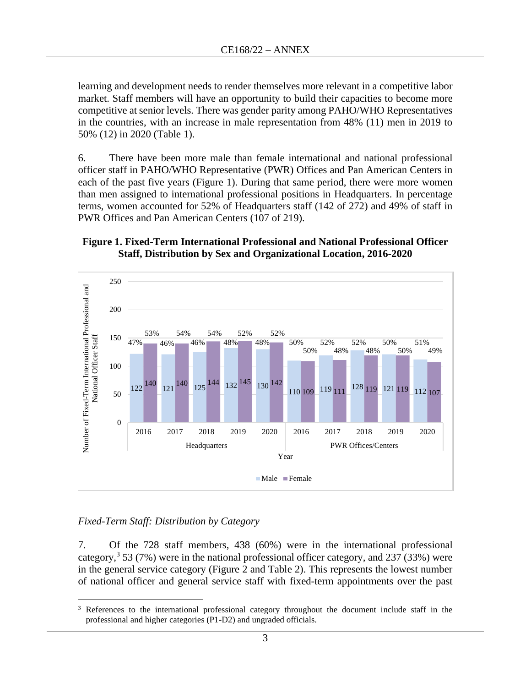learning and development needs to render themselves more relevant in a competitive labor market. Staff members will have an opportunity to build their capacities to become more competitive at senior levels. There was gender parity among PAHO/WHO Representatives in the countries, with an increase in male representation from 48% (11) men in 2019 to 50% (12) in 2020 (Table 1).

6. There have been more male than female international and national professional officer staff in PAHO/WHO Representative (PWR) Offices and Pan American Centers in each of the past five years (Figure 1). During that same period, there were more women than men assigned to international professional positions in Headquarters. In percentage terms, women accounted for 52% of Headquarters staff (142 of 272) and 49% of staff in PWR Offices and Pan American Centers (107 of 219).

#### **Figure 1. Fixed-Term International Professional and National Professional Officer Staff, Distribution by Sex and Organizational Location, 2016-2020**



#### *Fixed-Term Staff: Distribution by Category*

7. Of the 728 staff members, 438 (60%) were in the international professional category,<sup>3</sup> 53 (7%) were in the national professional officer category, and 237 (33%) were in the general service category (Figure 2 and Table 2). This represents the lowest number of national officer and general service staff with fixed-term appointments over the past

<sup>&</sup>lt;sup>3</sup> References to the international professional category throughout the document include staff in the professional and higher categories (P1-D2) and ungraded officials.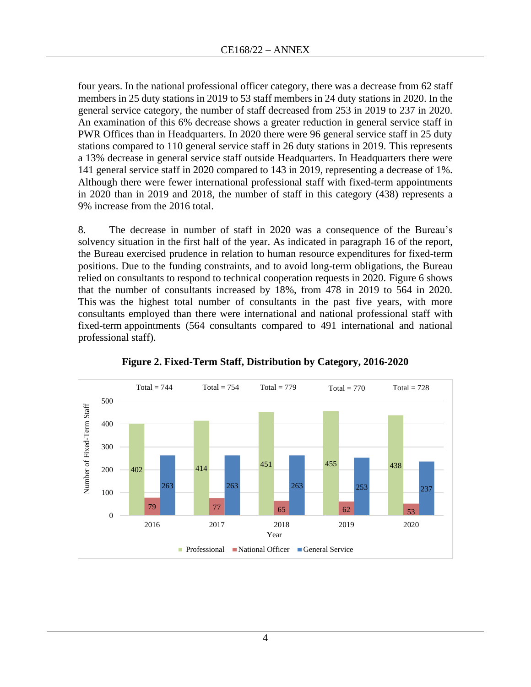four years. In the national professional officer category, there was a decrease from 62 staff members in 25 duty stations in 2019 to 53 staff members in 24 duty stations in 2020. In the general service category, the number of staff decreased from 253 in 2019 to 237 in 2020. An examination of this 6% decrease shows a greater reduction in general service staff in PWR Offices than in Headquarters. In 2020 there were 96 general service staff in 25 duty stations compared to 110 general service staff in 26 duty stations in 2019. This represents a 13% decrease in general service staff outside Headquarters. In Headquarters there were 141 general service staff in 2020 compared to 143 in 2019, representing a decrease of 1%. Although there were fewer international professional staff with fixed-term appointments in 2020 than in 2019 and 2018, the number of staff in this category (438) represents a 9% increase from the 2016 total.

8. The decrease in number of staff in 2020 was a consequence of the Bureau's solvency situation in the first half of the year. As indicated in paragraph 16 of the report, the Bureau exercised prudence in relation to human resource expenditures for fixed-term positions. Due to the funding constraints, and to avoid long-term obligations, the Bureau relied on consultants to respond to technical cooperation requests in 2020. Figure 6 shows that the number of consultants increased by 18%, from 478 in 2019 to 564 in 2020. This was the highest total number of consultants in the past five years, with more consultants employed than there were international and national professional staff with fixed-term appointments (564 consultants compared to 491 international and national professional staff).



**Figure 2. Fixed-Term Staff, Distribution by Category, 2016-2020**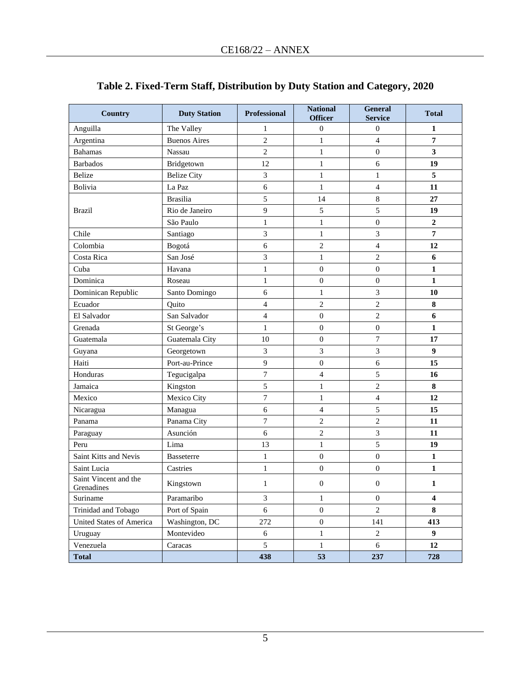| <b>Country</b>                      | <b>Duty Station</b> | Professional             | <b>National</b><br><b>Officer</b> | <b>General</b><br><b>Service</b> | <b>Total</b>     |
|-------------------------------------|---------------------|--------------------------|-----------------------------------|----------------------------------|------------------|
| Anguilla                            | The Valley          | 1                        | $\boldsymbol{0}$                  | $\boldsymbol{0}$                 | 1                |
| Argentina                           | <b>Buenos Aires</b> | $\overline{2}$           | $\mathbf{1}$                      | $\overline{4}$                   | 7                |
| <b>Bahamas</b>                      | Nassau              | $\sqrt{2}$               | $\mathbf{1}$                      | $\boldsymbol{0}$                 | 3                |
| <b>Barbados</b>                     | Bridgetown          | 12                       | $\mathbf{1}$                      | 6                                | 19               |
| <b>Belize</b>                       | <b>Belize City</b>  | 3                        | $\mathbf{1}$                      | $\mathbf{1}$                     | 5                |
| Bolivia                             | La Paz              | 6                        | $\mathbf{1}$                      | $\overline{4}$                   | 11               |
|                                     | <b>Brasilia</b>     | 5                        | 14                                | $\,$ 8 $\,$                      | 27               |
| <b>Brazil</b>                       | Rio de Janeiro      | 9                        | 5                                 | 5                                | 19               |
|                                     | São Paulo           | $\mathbf{1}$             | $\mathbf{1}$                      | $\boldsymbol{0}$                 | $\boldsymbol{2}$ |
| Chile                               | Santiago            | $\overline{3}$           | $\mathbf{1}$                      | 3                                | $\overline{7}$   |
| Colombia                            | Bogotá              | 6                        | $\overline{c}$                    | $\overline{4}$                   | 12               |
| Costa Rica                          | San José            | 3                        | $\mathbf{1}$                      | $\overline{c}$                   | 6                |
| Cuba                                | Havana              | $\mathbf{1}$             | $\boldsymbol{0}$                  | $\boldsymbol{0}$                 | $\mathbf{1}$     |
| Dominica                            | Roseau              | $\,1$                    | $\boldsymbol{0}$                  | $\boldsymbol{0}$                 | 1                |
| Dominican Republic                  | Santo Domingo       | 6                        | 1                                 | $\mathfrak{Z}$                   | 10               |
| Ecuador                             | Quito               | $\overline{\mathcal{L}}$ | $\overline{2}$                    | $\overline{c}$                   | 8                |
| El Salvador                         | San Salvador        | $\overline{4}$           | $\boldsymbol{0}$                  | $\sqrt{2}$                       | 6                |
| Grenada                             | St George's         | $\mathbf{1}$             | $\boldsymbol{0}$                  | $\mathbf 0$                      | $\mathbf{1}$     |
| Guatemala                           | Guatemala City      | 10                       | $\boldsymbol{0}$                  | $\boldsymbol{7}$                 | 17               |
| Guyana                              | Georgetown          | 3                        | 3                                 | 3                                | $\boldsymbol{9}$ |
| Haiti                               | Port-au-Prince      | 9                        | $\boldsymbol{0}$                  | 6                                | 15               |
| Honduras                            | Tegucigalpa         | $\overline{7}$           | $\overline{\mathcal{L}}$          | $\sqrt{5}$                       | 16               |
| Jamaica                             | Kingston            | $\sqrt{5}$               | $\mathbf{1}$                      | $\overline{c}$                   | ${\bf 8}$        |
| Mexico                              | Mexico City         | $\overline{7}$           | $\mathbf{1}$                      | $\overline{\mathcal{L}}$         | 12               |
| Nicaragua                           | Managua             | 6                        | 4                                 | 5                                | 15               |
| Panama                              | Panama City         | $\boldsymbol{7}$         | $\overline{c}$                    | $\sqrt{2}$                       | 11               |
| Paraguay                            | Asunción            | 6                        | $\overline{c}$                    | 3                                | 11               |
| Peru                                | Lima                | 13                       | $\mathbf{1}$                      | 5                                | 19               |
| Saint Kitts and Nevis               | <b>Basseterre</b>   | $\mathbf{1}$             | $\boldsymbol{0}$                  | $\boldsymbol{0}$                 | 1                |
| Saint Lucia                         | Castries            | $\mathbf{1}$             | $\boldsymbol{0}$                  | $\boldsymbol{0}$                 | $\mathbf{1}$     |
| Saint Vincent and the<br>Grenadines | Kingstown           | $\mathbf{1}$             | $\boldsymbol{0}$                  | $\boldsymbol{0}$                 | 1                |
| Suriname                            | Paramaribo          | $\mathfrak{Z}$           | $\mathbf{1}$                      | $\boldsymbol{0}$                 | $\boldsymbol{4}$ |
| Trinidad and Tobago                 | Port of Spain       | 6                        | $\boldsymbol{0}$                  | $\overline{c}$                   | 8                |
| United States of America            | Washington, DC      | 272                      | $\boldsymbol{0}$                  | 141                              | 413              |
| Uruguay                             | Montevideo          | $\sqrt{6}$               | $\mathbf{1}$                      | $\sqrt{2}$                       | 9 <sup>1</sup>   |
| Venezuela                           | Caracas             | 5                        | $\mathbf{1}$                      | 6                                | 12               |
| <b>Total</b>                        |                     | 438                      | 53                                | 237                              | 728              |

## **Table 2. Fixed-Term Staff, Distribution by Duty Station and Category, 2020**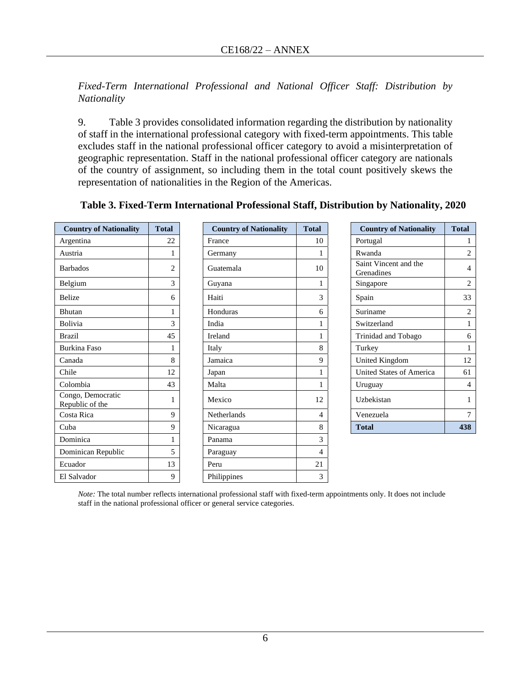*Fixed-Term International Professional and National Officer Staff: Distribution by Nationality*

9. Table 3 provides consolidated information regarding the distribution by nationality of staff in the international professional category with fixed-term appointments. This table excludes staff in the national professional officer category to avoid a misinterpretation of geographic representation. Staff in the national professional officer category are nationals of the country of assignment, so including them in the total count positively skews the representation of nationalities in the Region of the Americas.

| <b>Country of Nationality</b>        | <b>Total</b>   | <b>Country of Nationality</b> | <b>Total</b> | <b>Country of Nationality</b>       | <b>Total</b>   |
|--------------------------------------|----------------|-------------------------------|--------------|-------------------------------------|----------------|
| Argentina                            | 22             | France                        | 10           | Portugal                            | 1              |
| Austria                              |                | Germany                       | 1            | Rwanda                              | $\overline{2}$ |
| <b>Barbados</b>                      | $\overline{2}$ | Guatemala                     | 10           | Saint Vincent and the<br>Grenadines | $\overline{4}$ |
| Belgium                              | 3              | Guyana                        | $\mathbf{1}$ | Singapore                           | $\overline{2}$ |
| Belize                               | 6              | Haiti                         | 3            | Spain                               | 33             |
| Bhutan                               | 1              | Honduras                      | 6            | Suriname                            | $\overline{2}$ |
| <b>Bolivia</b>                       | 3              | India                         |              | Switzerland                         |                |
| <b>Brazil</b>                        | 45             | Ireland                       | 1            | Trinidad and Tobago                 | 6              |
| <b>Burkina Faso</b>                  |                | Italy                         | 8            | Turkey                              |                |
| Canada                               | 8              | Jamaica                       | 9            | <b>United Kingdom</b>               | 12             |
| Chile                                | 12             | Japan                         | 1            | United States of America            | 61             |
| Colombia                             | 43             | Malta                         | 1            | Uruguay                             | 4              |
| Congo, Democratic<br>Republic of the |                | Mexico                        | 12           | Uzbekistan                          |                |
| Costa Rica                           | 9              | Netherlands                   | 4            | Venezuela                           | $\overline{7}$ |
| Cuba                                 | 9              | Nicaragua                     | 8            | <b>Total</b>                        | 438            |
| Dominica                             |                | Panama                        | 3            |                                     |                |
| Dominican Republic                   | 5              | Paraguay                      | 4            |                                     |                |
| Ecuador                              | 13             | Peru                          | 21           |                                     |                |
| El Salvador                          | 9              | Philippines                   | 3            |                                     |                |

#### **Table 3. Fixed-Term International Professional Staff, Distribution by Nationality, 2020**

*Note:* The total number reflects international professional staff with fixed-term appointments only. It does not include staff in the national professional officer or general service categories.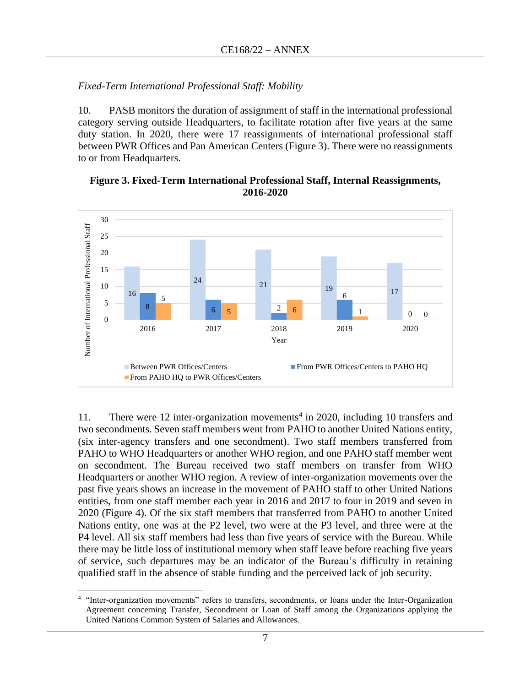### *Fixed-Term International Professional Staff: Mobility*

10. PASB monitors the duration of assignment of staff in the international professional category serving outside Headquarters, to facilitate rotation after five years at the same duty station. In 2020, there were 17 reassignments of international professional staff between PWR Offices and Pan American Centers (Figure 3). There were no reassignments to or from Headquarters.



**Figure 3. Fixed-Term International Professional Staff, Internal Reassignments,** 



11. There were 12 inter-organization movements<sup>4</sup> in 2020, including 10 transfers and two secondments. Seven staff members went from PAHO to another United Nations entity, (six inter-agency transfers and one secondment). Two staff members transferred from PAHO to WHO Headquarters or another WHO region, and one PAHO staff member went on secondment. The Bureau received two staff members on transfer from WHO Headquarters or another WHO region. A review of inter-organization movements over the past five years shows an increase in the movement of PAHO staff to other United Nations entities, from one staff member each year in 2016 and 2017 to four in 2019 and seven in 2020 (Figure 4). Of the six staff members that transferred from PAHO to another United Nations entity, one was at the P2 level, two were at the P3 level, and three were at the P4 level. All six staff members had less than five years of service with the Bureau. While there may be little loss of institutional memory when staff leave before reaching five years of service, such departures may be an indicator of the Bureau's difficulty in retaining qualified staff in the absence of stable funding and the perceived lack of job security.

<sup>&</sup>lt;sup>4</sup> "Inter-organization movements" refers to transfers, secondments, or loans under the Inter-Organization Agreement concerning Transfer, Secondment or Loan of Staff among the Organizations applying the United Nations Common System of Salaries and Allowances.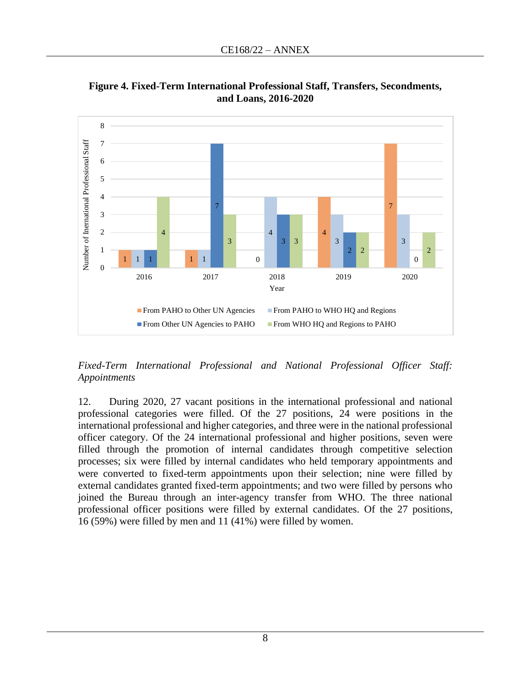

**Figure 4. Fixed-Term International Professional Staff, Transfers, Secondments, and Loans, 2016-2020**

*Fixed-Term International Professional and National Professional Officer Staff: Appointments* 

12. During 2020, 27 vacant positions in the international professional and national professional categories were filled. Of the 27 positions, 24 were positions in the international professional and higher categories, and three were in the national professional officer category. Of the 24 international professional and higher positions, seven were filled through the promotion of internal candidates through competitive selection processes; six were filled by internal candidates who held temporary appointments and were converted to fixed-term appointments upon their selection; nine were filled by external candidates granted fixed-term appointments; and two were filled by persons who joined the Bureau through an inter-agency transfer from WHO. The three national professional officer positions were filled by external candidates. Of the 27 positions, 16 (59%) were filled by men and 11 (41%) were filled by women.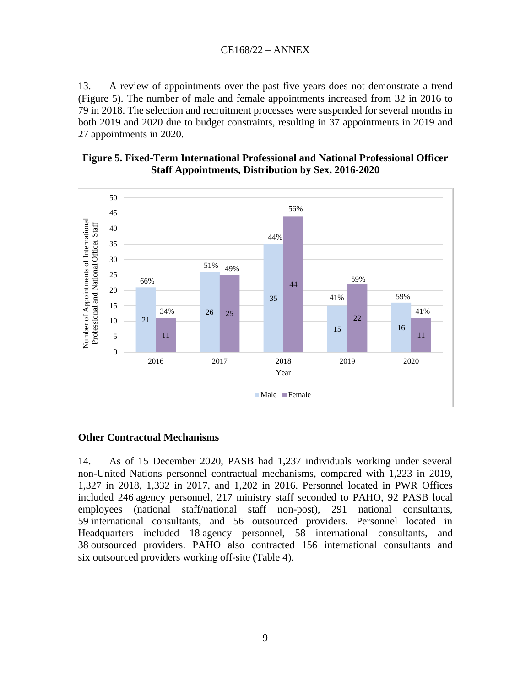13. A review of appointments over the past five years does not demonstrate a trend (Figure 5). The number of male and female appointments increased from 32 in 2016 to 79 in 2018. The selection and recruitment processes were suspended for several months in both 2019 and 2020 due to budget constraints, resulting in 37 appointments in 2019 and 27 appointments in 2020.

#### **Figure 5. Fixed-Term International Professional and National Professional Officer Staff Appointments, Distribution by Sex, 2016-2020**



### **Other Contractual Mechanisms**

14. As of 15 December 2020, PASB had 1,237 individuals working under several non-United Nations personnel contractual mechanisms, compared with 1,223 in 2019, 1,327 in 2018, 1,332 in 2017, and 1,202 in 2016. Personnel located in PWR Offices included 246 agency personnel, 217 ministry staff seconded to PAHO, 92 PASB local employees (national staff/national staff non-post), 291 national consultants, 59 international consultants, and 56 outsourced providers. Personnel located in Headquarters included 18 agency personnel, 58 international consultants, and 38 outsourced providers. PAHO also contracted 156 international consultants and six outsourced providers working off-site (Table 4).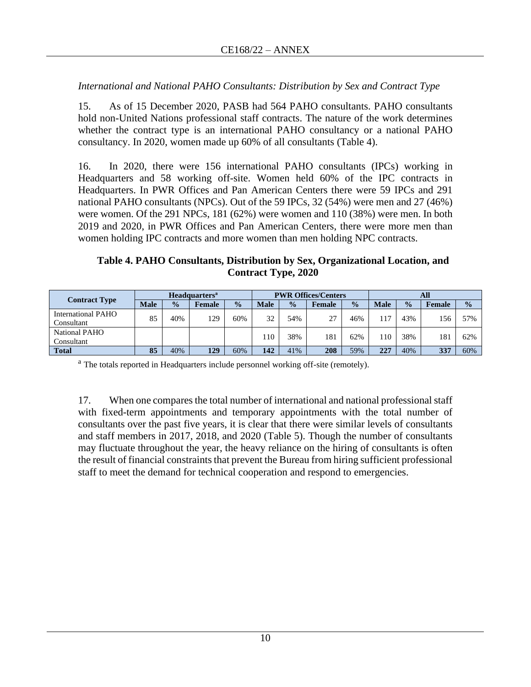### *International and National PAHO Consultants: Distribution by Sex and Contract Type*

15. As of 15 December 2020, PASB had 564 PAHO consultants. PAHO consultants hold non-United Nations professional staff contracts. The nature of the work determines whether the contract type is an international PAHO consultancy or a national PAHO consultancy. In 2020, women made up 60% of all consultants (Table 4).

16. In 2020, there were 156 international PAHO consultants (IPCs) working in Headquarters and 58 working off-site. Women held 60% of the IPC contracts in Headquarters. In PWR Offices and Pan American Centers there were 59 IPCs and 291 national PAHO consultants (NPCs). Out of the 59 IPCs, 32 (54%) were men and 27 (46%) were women. Of the 291 NPCs, 181 (62%) were women and 110 (38%) were men. In both 2019 and 2020, in PWR Offices and Pan American Centers, there were more men than women holding IPC contracts and more women than men holding NPC contracts.

### **Table 4. PAHO Consultants, Distribution by Sex, Organizational Location, and Contract Type, 2020**

|                                  | <b>Headquarters</b> <sup>a</sup> |               |               | <b>PWR Offices/Centers</b> |             |               | All    |               |             |               |               |               |
|----------------------------------|----------------------------------|---------------|---------------|----------------------------|-------------|---------------|--------|---------------|-------------|---------------|---------------|---------------|
| <b>Contract Type</b>             | <b>Male</b>                      | $\frac{0}{0}$ | <b>Female</b> | $\frac{0}{0}$              | <b>Male</b> | $\frac{0}{0}$ | Female | $\frac{0}{0}$ | <b>Male</b> | $\frac{0}{0}$ | <b>Female</b> | $\frac{0}{0}$ |
| International PAHO<br>Consultant | 85                               | 40%           | 129           | 60%                        | 32          | 54%           | 27     | 46%           | 117         | 43%           | 156           | 57%           |
| National PAHO<br>Consultant      |                                  |               |               |                            | 10          | 38%           | 181    | 62%           | 110         | 38%           | 181           | 62%           |
| <b>Total</b>                     | 85                               | 40%           | 129           | 60%                        | 142         | 41%           | 208    | 59%           | 227         | 40%           | 337           | 60%           |

<sup>a</sup> The totals reported in Headquarters include personnel working off-site (remotely).

17. When one compares the total number of international and national professional staff with fixed-term appointments and temporary appointments with the total number of consultants over the past five years, it is clear that there were similar levels of consultants and staff members in 2017, 2018, and 2020 (Table 5). Though the number of consultants may fluctuate throughout the year, the heavy reliance on the hiring of consultants is often the result of financial constraints that prevent the Bureau from hiring sufficient professional staff to meet the demand for technical cooperation and respond to emergencies.